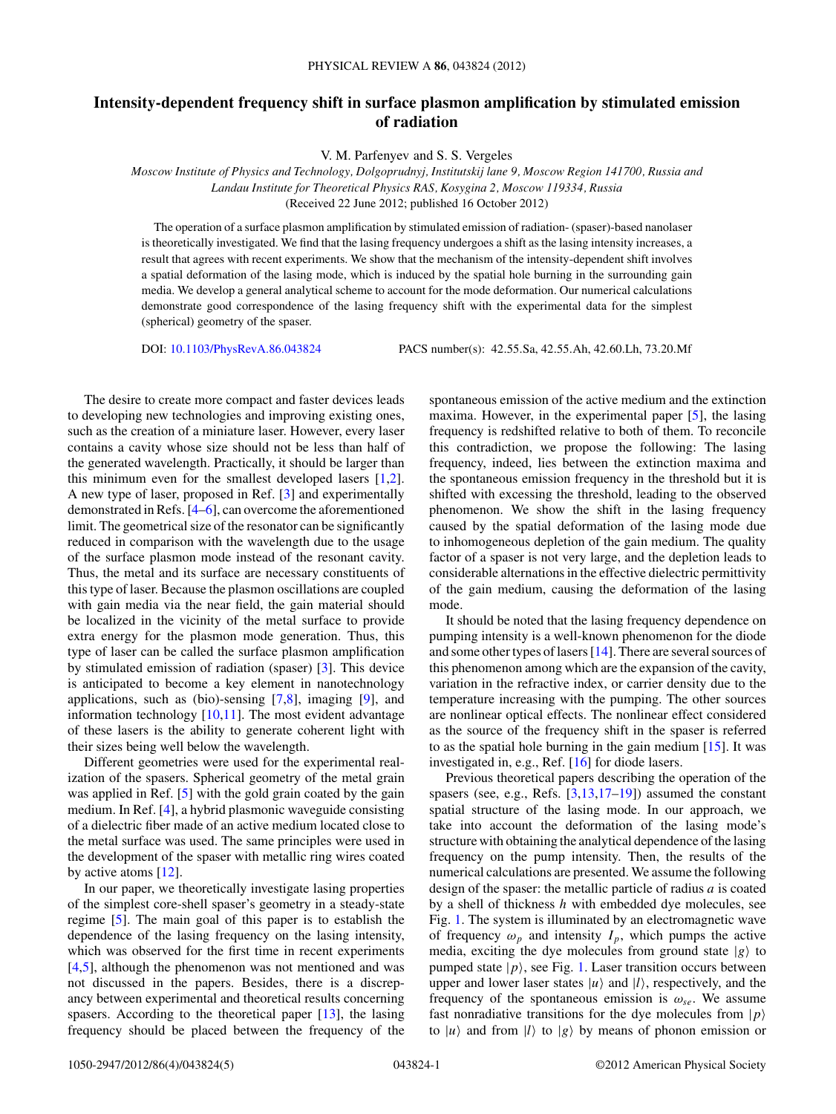## **Intensity-dependent frequency shift in surface plasmon amplification by stimulated emission of radiation**

V. M. Parfenyev and S. S. Vergeles

*Moscow Institute of Physics and Technology, Dolgoprudnyj, Institutskij lane 9, Moscow Region 141700, Russia and Landau Institute for Theoretical Physics RAS, Kosygina 2, Moscow 119334, Russia* (Received 22 June 2012; published 16 October 2012)

The operation of a surface plasmon amplification by stimulated emission of radiation- (spaser)-based nanolaser is theoretically investigated. We find that the lasing frequency undergoes a shift as the lasing intensity increases, a result that agrees with recent experiments. We show that the mechanism of the intensity-dependent shift involves a spatial deformation of the lasing mode, which is induced by the spatial hole burning in the surrounding gain media. We develop a general analytical scheme to account for the mode deformation. Our numerical calculations demonstrate good correspondence of the lasing frequency shift with the experimental data for the simplest (spherical) geometry of the spaser.

DOI: [10.1103/PhysRevA.86.043824](http://dx.doi.org/10.1103/PhysRevA.86.043824) PACS number(s): 42*.*55*.*Sa, 42*.*55*.*Ah, 42*.*60*.*Lh, 73*.*20*.*Mf

The desire to create more compact and faster devices leads to developing new technologies and improving existing ones, such as the creation of a miniature laser. However, every laser contains a cavity whose size should not be less than half of the generated wavelength. Practically, it should be larger than this minimum even for the smallest developed lasers [\[1,2\]](#page-4-0). A new type of laser, proposed in Ref. [\[3\]](#page-4-0) and experimentally demonstrated in Refs. [\[4–6\]](#page-4-0), can overcome the aforementioned limit. The geometrical size of the resonator can be significantly reduced in comparison with the wavelength due to the usage of the surface plasmon mode instead of the resonant cavity. Thus, the metal and its surface are necessary constituents of this type of laser. Because the plasmon oscillations are coupled with gain media via the near field, the gain material should be localized in the vicinity of the metal surface to provide extra energy for the plasmon mode generation. Thus, this type of laser can be called the surface plasmon amplification by stimulated emission of radiation (spaser) [\[3\]](#page-4-0). This device is anticipated to become a key element in nanotechnology applications, such as (bio)-sensing  $[7,8]$ , imaging  $[9]$ , and information technology [\[10,11\]](#page-4-0). The most evident advantage of these lasers is the ability to generate coherent light with their sizes being well below the wavelength.

Different geometries were used for the experimental realization of the spasers. Spherical geometry of the metal grain was applied in Ref. [\[5\]](#page-4-0) with the gold grain coated by the gain medium. In Ref. [\[4\]](#page-4-0), a hybrid plasmonic waveguide consisting of a dielectric fiber made of an active medium located close to the metal surface was used. The same principles were used in the development of the spaser with metallic ring wires coated by active atoms [\[12\]](#page-4-0).

In our paper, we theoretically investigate lasing properties of the simplest core-shell spaser's geometry in a steady-state regime [\[5\]](#page-4-0). The main goal of this paper is to establish the dependence of the lasing frequency on the lasing intensity, which was observed for the first time in recent experiments [\[4,5\]](#page-4-0), although the phenomenon was not mentioned and was not discussed in the papers. Besides, there is a discrepancy between experimental and theoretical results concerning spasers. According to the theoretical paper [\[13\]](#page-4-0), the lasing frequency should be placed between the frequency of the spontaneous emission of the active medium and the extinction maxima. However, in the experimental paper [\[5\]](#page-4-0), the lasing frequency is redshifted relative to both of them. To reconcile this contradiction, we propose the following: The lasing frequency, indeed, lies between the extinction maxima and the spontaneous emission frequency in the threshold but it is shifted with excessing the threshold, leading to the observed phenomenon. We show the shift in the lasing frequency caused by the spatial deformation of the lasing mode due to inhomogeneous depletion of the gain medium. The quality factor of a spaser is not very large, and the depletion leads to considerable alternations in the effective dielectric permittivity of the gain medium, causing the deformation of the lasing mode.

It should be noted that the lasing frequency dependence on pumping intensity is a well-known phenomenon for the diode and some other types of lasers [\[14\]](#page-4-0). There are several sources of this phenomenon among which are the expansion of the cavity, variation in the refractive index, or carrier density due to the temperature increasing with the pumping. The other sources are nonlinear optical effects. The nonlinear effect considered as the source of the frequency shift in the spaser is referred to as the spatial hole burning in the gain medium  $[15]$ . It was investigated in, e.g., Ref. [\[16\]](#page-4-0) for diode lasers.

Previous theoretical papers describing the operation of the spasers (see, e.g., Refs. [\[3,13,17–19\]](#page-4-0)) assumed the constant spatial structure of the lasing mode. In our approach, we take into account the deformation of the lasing mode's structure with obtaining the analytical dependence of the lasing frequency on the pump intensity. Then, the results of the numerical calculations are presented. We assume the following design of the spaser: the metallic particle of radius *a* is coated by a shell of thickness *h* with embedded dye molecules, see Fig. [1.](#page-1-0) The system is illuminated by an electromagnetic wave of frequency  $\omega_p$  and intensity  $I_p$ , which pumps the active media, exciting the dye molecules from ground state  $|g\rangle$  to pumped state  $|p\rangle$ , see Fig. [1.](#page-1-0) Laser transition occurs between upper and lower laser states  $|u\rangle$  and  $|l\rangle$ , respectively, and the frequency of the spontaneous emission is  $\omega_{se}$ . We assume fast nonradiative transitions for the dye molecules from  $|p\rangle$ to  $|u\rangle$  and from  $|l\rangle$  to  $|g\rangle$  by means of phonon emission or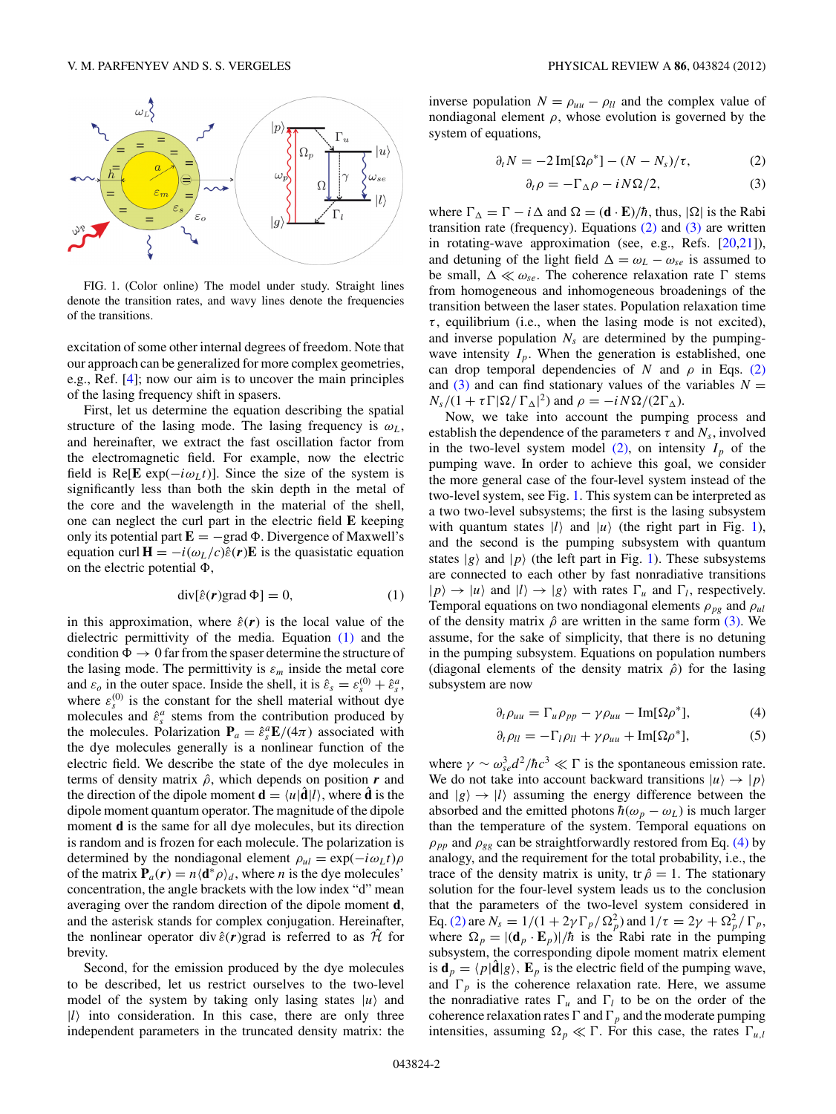<span id="page-1-0"></span>

FIG. 1. (Color online) The model under study. Straight lines denote the transition rates, and wavy lines denote the frequencies of the transitions.

excitation of some other internal degrees of freedom. Note that our approach can be generalized for more complex geometries, e.g., Ref. [\[4\]](#page-4-0); now our aim is to uncover the main principles of the lasing frequency shift in spasers.

First, let us determine the equation describing the spatial structure of the lasing mode. The lasing frequency is  $\omega_L$ , and hereinafter, we extract the fast oscillation factor from the electromagnetic field. For example, now the electric field is Re[**E** exp( $-i\omega_L t$ )]. Since the size of the system is significantly less than both the skin depth in the metal of the core and the wavelength in the material of the shell, one can neglect the curl part in the electric field **E** keeping only its potential part  $\mathbf{E} = -\text{grad } \Phi$ . Divergence of Maxwell's equation curl  $\mathbf{H} = -i(\omega_L/c)\hat{\varepsilon}(\mathbf{r})\mathbf{E}$  is the quasistatic equation on the electric potential  $\Phi$ ,

$$
\operatorname{div}[\hat{\varepsilon}(\mathbf{r})\text{grad}\,\Phi] = 0,\tag{1}
$$

in this approximation, where  $\hat{\varepsilon}(r)$  is the local value of the dielectric permittivity of the media. Equation (1) and the condition  $\Phi \rightarrow 0$  far from the spaser determine the structure of the lasing mode. The permittivity is  $\varepsilon_m$  inside the metal core and  $\varepsilon_o$  in the outer space. Inside the shell, it is  $\hat{\varepsilon}_s = \varepsilon_s^{(0)} + \hat{\varepsilon}_s^a$ , where  $\varepsilon_s^{(0)}$  is the constant for the shell material without dye molecules and  $\hat{\varepsilon}^a_s$  stems from the contribution produced by the molecules. Polarization  $P_a = \hat{\varepsilon}_s^a E/(4\pi)$  associated with the dye molecules generally is a nonlinear function of the electric field. We describe the state of the dye molecules in terms of density matrix  $\hat{\rho}$ , which depends on position  $\bf{r}$  and the direction of the dipole moment  $\mathbf{d} = \langle u | \hat{\mathbf{d}} | l \rangle$ , where  $\hat{\mathbf{d}}$  is the dipole moment quantum operator. The magnitude of the dipole moment **d** is the same for all dye molecules, but its direction is random and is frozen for each molecule. The polarization is determined by the nondiagonal element  $\rho_{ul} = \exp(-i\omega_L t)\rho$ of the matrix  $P_a(r) = n \langle d^* \rho \rangle_d$ , where *n* is the dye molecules' concentration, the angle brackets with the low index "d" mean averaging over the random direction of the dipole moment **d**, and the asterisk stands for complex conjugation. Hereinafter, the nonlinear operator div  $\hat{\varepsilon}(r)$ grad is referred to as  $\hat{\mathcal{H}}$  for brevity.

Second, for the emission produced by the dye molecules to be described, let us restrict ourselves to the two-level model of the system by taking only lasing states  $|u\rangle$  and |*l*- into consideration. In this case, there are only three independent parameters in the truncated density matrix: the

inverse population  $N = \rho_{uu} - \rho_{ll}$  and the complex value of nondiagonal element  $\rho$ , whose evolution is governed by the system of equations,

$$
\partial_t N = -2 \operatorname{Im}[\Omega \rho^*] - (N - N_s) / \tau, \tag{2}
$$

$$
\partial_t \rho = -\Gamma_{\Delta} \rho - iN\Omega/2, \tag{3}
$$

where  $\Gamma_{\Delta} = \Gamma - i\Delta$  and  $\Omega = (\mathbf{d} \cdot \mathbf{E})/\hbar$ , thus,  $|\Omega|$  is the Rabi transition rate (frequency). Equations  $(2)$  and  $(3)$  are written in rotating-wave approximation (see, e.g., Refs. [\[20,21\]](#page-4-0)), and detuning of the light field  $\Delta = \omega_L - \omega_{se}$  is assumed to be small,  $\Delta \ll \omega_{se}$ . The coherence relaxation rate  $\Gamma$  stems from homogeneous and inhomogeneous broadenings of the transition between the laser states. Population relaxation time  $\tau$ , equilibrium (i.e., when the lasing mode is not excited), and inverse population  $N_s$  are determined by the pumpingwave intensity  $I_p$ . When the generation is established, one can drop temporal dependencies of *N* and  $\rho$  in Eqs. (2) and  $(3)$  and can find stationary values of the variables  $N =$  $N_s/(1 + \tau \Gamma |\Omega| / \Gamma_{\Delta}|^2)$  and  $\rho = -i N \Omega / (2 \Gamma_{\Delta})$ .

Now, we take into account the pumping process and establish the dependence of the parameters  $\tau$  and  $N_s$ , involved in the two-level system model  $(2)$ , on intensity  $I_p$  of the pumping wave. In order to achieve this goal, we consider the more general case of the four-level system instead of the two-level system, see Fig. 1. This system can be interpreted as a two two-level subsystems; the first is the lasing subsystem with quantum states  $|l\rangle$  and  $|u\rangle$  (the right part in Fig. 1), and the second is the pumping subsystem with quantum states  $|g\rangle$  and  $|p\rangle$  (the left part in Fig. 1). These subsystems are connected to each other by fast nonradiative transitions  $|p\rangle \rightarrow |u\rangle$  and  $|l\rangle \rightarrow |g\rangle$  with rates  $\Gamma_u$  and  $\Gamma_l$ , respectively. Temporal equations on two nondiagonal elements  $\rho_{pg}$  and  $\rho_{ul}$ of the density matrix  $\hat{\rho}$  are written in the same form (3). We assume, for the sake of simplicity, that there is no detuning in the pumping subsystem. Equations on population numbers (diagonal elements of the density matrix  $\hat{\rho}$ ) for the lasing subsystem are now

$$
\partial_t \rho_{uu} = \Gamma_u \rho_{pp} - \gamma \rho_{uu} - \text{Im}[\Omega \rho^*],\tag{4}
$$

$$
\partial_t \rho_{ll} = -\Gamma_l \rho_{ll} + \gamma \rho_{uu} + \text{Im}[\Omega \rho^*],\tag{5}
$$

where  $\gamma \sim \omega_{se}^3 d^2/\hbar c^3 \ll \Gamma$  is the spontaneous emission rate. We do not take into account backward transitions  $|u\rangle \rightarrow |p\rangle$ and  $|g\rangle \rightarrow |l\rangle$  assuming the energy difference between the absorbed and the emitted photons  $\hbar(\omega_p - \omega_L)$  is much larger than the temperature of the system. Temporal equations on  $\rho_{pp}$  and  $\rho_{gg}$  can be straightforwardly restored from Eq. (4) by analogy, and the requirement for the total probability, i.e., the trace of the density matrix is unity, tr  $\hat{\rho} = 1$ . The stationary solution for the four-level system leads us to the conclusion that the parameters of the two-level system considered in Eq. (2) are  $N_s = 1/(1 + 2\gamma \Gamma_p / \Omega_p^2)$  and  $1/\tau = 2\gamma + \Omega_p^2 / \Gamma_p$ , where  $\Omega_p = |(\mathbf{d}_p \cdot \mathbf{E}_p)|/\hbar$  is the Rabi rate in the pumping subsystem, the corresponding dipole moment matrix element is  $\mathbf{d}_p = \langle p | \hat{\mathbf{d}} | g \rangle$ ,  $\mathbf{E}_p$  is the electric field of the pumping wave, and  $\Gamma_p$  is the coherence relaxation rate. Here, we assume the nonradiative rates  $\Gamma_u$  and  $\Gamma_l$  to be on the order of the coherence relaxation rates  $\Gamma$  and  $\Gamma_p$  and the moderate pumping intensities, assuming  $\Omega_p \ll \Gamma$ . For this case, the rates  $\Gamma_{u,l}$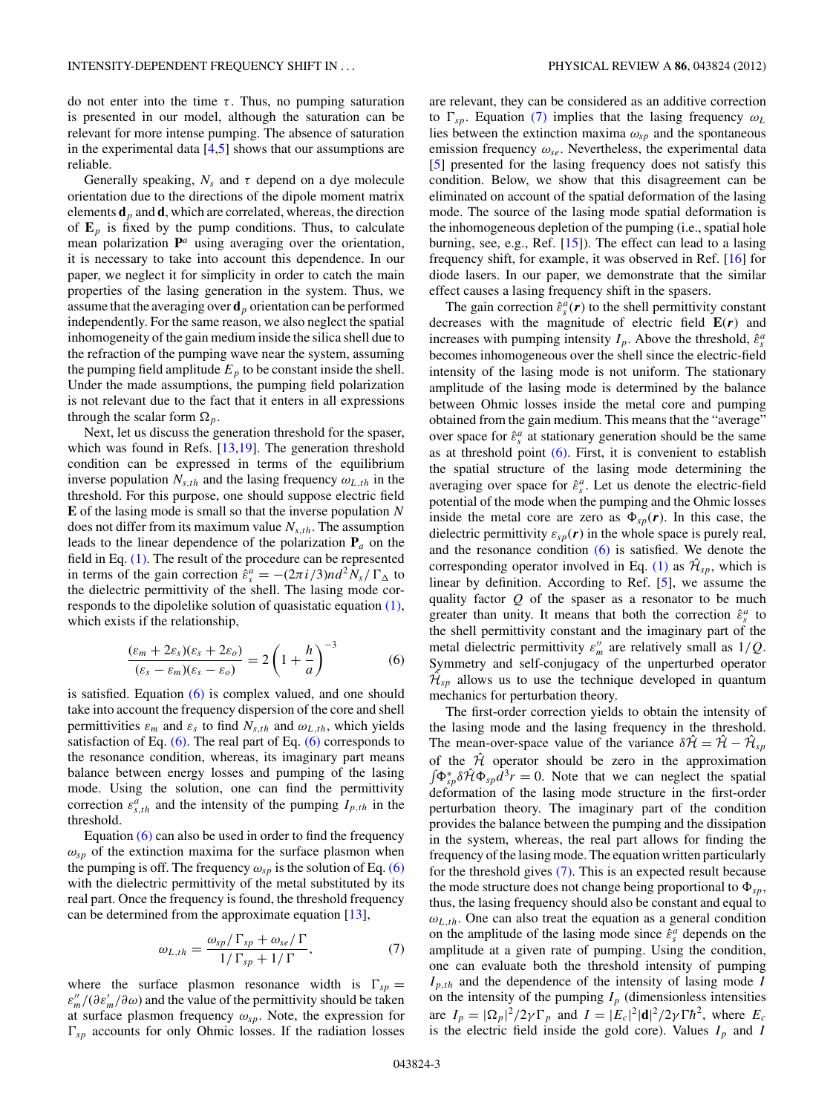<span id="page-2-0"></span>do not enter into the time  $\tau$ . Thus, no pumping saturation is presented in our model, although the saturation can be relevant for more intense pumping. The absence of saturation in the experimental data  $[4,5]$  shows that our assumptions are reliable.

Generally speaking,  $N_s$  and  $\tau$  depend on a dye molecule orientation due to the directions of the dipole moment matrix elements  $\mathbf{d}_p$  and  $\mathbf{d}$ , which are correlated, whereas, the direction of  $\mathbf{E}_p$  is fixed by the pump conditions. Thus, to calculate mean polarization **P***<sup>a</sup>* using averaging over the orientation, it is necessary to take into account this dependence. In our paper, we neglect it for simplicity in order to catch the main properties of the lasing generation in the system. Thus, we assume that the averaging over **d***<sup>p</sup>* orientation can be performed independently. For the same reason, we also neglect the spatial inhomogeneity of the gain medium inside the silica shell due to the refraction of the pumping wave near the system, assuming the pumping field amplitude  $E_p$  to be constant inside the shell. Under the made assumptions, the pumping field polarization is not relevant due to the fact that it enters in all expressions through the scalar form  $\Omega_p$ .

Next, let us discuss the generation threshold for the spaser, which was found in Refs.  $[13,19]$ . The generation threshold condition can be expressed in terms of the equilibrium inverse population  $N_{s,th}$  and the lasing frequency  $\omega_{L,th}$  in the threshold. For this purpose, one should suppose electric field **E** of the lasing mode is small so that the inverse population *N* does not differ from its maximum value  $N_{s,th}$ . The assumption leads to the linear dependence of the polarization  $P_a$  on the field in Eq. [\(1\).](#page-1-0) The result of the procedure can be represented in terms of the gain correction  $\hat{\varepsilon}_s^a = -(2\pi i/3)nd^2N_s/\Gamma_{\Delta}$  to the dielectric permittivity of the shell. The lasing mode corresponds to the dipolelike solution of quasistatic equation [\(1\),](#page-1-0) which exists if the relationship,

$$
\frac{(\varepsilon_m + 2\varepsilon_s)(\varepsilon_s + 2\varepsilon_o)}{(\varepsilon_s - \varepsilon_m)(\varepsilon_s - \varepsilon_o)} = 2\left(1 + \frac{h}{a}\right)^{-3}
$$
(6)

is satisfied. Equation  $(6)$  is complex valued, and one should take into account the frequency dispersion of the core and shell permittivities  $\varepsilon_m$  and  $\varepsilon_s$  to find  $N_{s,th}$  and  $\omega_{L,th}$ , which yields satisfaction of Eq.  $(6)$ . The real part of Eq.  $(6)$  corresponds to the resonance condition, whereas, its imaginary part means balance between energy losses and pumping of the lasing mode. Using the solution, one can find the permittivity correction  $\varepsilon_{s,th}^a$  and the intensity of the pumping  $I_{p,th}$  in the threshold.

Equation (6) can also be used in order to find the frequency  $\omega_{sp}$  of the extinction maxima for the surface plasmon when the pumping is off. The frequency  $\omega_{sn}$  is the solution of Eq. (6) with the dielectric permittivity of the metal substituted by its real part. Once the frequency is found, the threshold frequency can be determined from the approximate equation [\[13\]](#page-4-0),

$$
\omega_{L,th} = \frac{\omega_{sp} / \Gamma_{sp} + \omega_{se} / \Gamma}{1 / \Gamma_{sp} + 1 / \Gamma},\tag{7}
$$

where the surface plasmon resonance width is  $\Gamma_{sp} =$  $\varepsilon_m''/(\partial \varepsilon_m'/\partial \omega)$  and the value of the permittivity should be taken at surface plasmon frequency  $\omega_{sp}$ . Note, the expression for  $\Gamma_{sp}$  accounts for only Ohmic losses. If the radiation losses

are relevant, they can be considered as an additive correction to  $\Gamma_{sp}$ . Equation (7) implies that the lasing frequency  $\omega_L$ lies between the extinction maxima  $\omega_{sp}$  and the spontaneous emission frequency *ωse*. Nevertheless, the experimental data [\[5\]](#page-4-0) presented for the lasing frequency does not satisfy this condition. Below, we show that this disagreement can be eliminated on account of the spatial deformation of the lasing mode. The source of the lasing mode spatial deformation is the inhomogeneous depletion of the pumping (i.e., spatial hole burning, see, e.g., Ref. [\[15\]](#page-4-0)). The effect can lead to a lasing frequency shift, for example, it was observed in Ref. [\[16\]](#page-4-0) for diode lasers. In our paper, we demonstrate that the similar effect causes a lasing frequency shift in the spasers.

The gain correction  $\hat{\varepsilon}^a_s(\mathbf{r})$  to the shell permittivity constant decreases with the magnitude of electric field **E**(*r*) and increases with pumping intensity  $I_p$ . Above the threshold,  $\hat{\varepsilon}_s^a$ becomes inhomogeneous over the shell since the electric-field intensity of the lasing mode is not uniform. The stationary amplitude of the lasing mode is determined by the balance between Ohmic losses inside the metal core and pumping obtained from the gain medium. This means that the "average" over space for  $\hat{\epsilon}^a_s$  at stationary generation should be the same as at threshold point  $(6)$ . First, it is convenient to establish the spatial structure of the lasing mode determining the averaging over space for ˆ*ε<sup>a</sup> <sup>s</sup>* . Let us denote the electric-field potential of the mode when the pumping and the Ohmic losses inside the metal core are zero as  $\Phi_{sp}(\mathbf{r})$ . In this case, the dielectric permittivity  $\varepsilon_{sp}(\mathbf{r})$  in the whole space is purely real, and the resonance condition  $(6)$  is satisfied. We denote the corresponding operator involved in Eq. [\(1\)](#page-1-0) as  $\mathcal{H}_{sp}$ , which is linear by definition. According to Ref. [\[5\]](#page-4-0), we assume the quality factor *Q* of the spaser as a resonator to be much greater than unity. It means that both the correction  $\hat{\varepsilon}^a_s$  to the shell permittivity constant and the imaginary part of the metal dielectric permittivity  $\varepsilon_m''$  are relatively small as  $1/Q$ . Symmetry and self-conjugacy of the unperturbed operator  $\hat{\mathcal{H}}_{sp}$  allows us to use the technique developed in quantum mechanics for perturbation theory.

The first-order correction yields to obtain the intensity of the lasing mode and the lasing frequency in the threshold. The mean-over-space value of the variance  $\delta \hat{\mathcal{H}} = \hat{\mathcal{H}} - \hat{\mathcal{H}}_{sp}$ of the  $\hat{\mathcal{H}}$  operator should be zero in the approximation  $\int \Phi_{sp}^* \delta \hat{\mathcal{H}} \Phi_{sp} \hat{d}^3 r = 0$ . Note that we can neglect the spatial deformation of the lasing mode structure in the first-order perturbation theory. The imaginary part of the condition provides the balance between the pumping and the dissipation in the system, whereas, the real part allows for finding the frequency of the lasing mode. The equation written particularly for the threshold gives (7). This is an expected result because the mode structure does not change being proportional to  $\Phi_{sp}$ , thus, the lasing frequency should also be constant and equal to  $\omega_{L,th}$ . One can also treat the equation as a general condition on the amplitude of the lasing mode since  $\hat{\varepsilon}^a_s$  depends on the amplitude at a given rate of pumping. Using the condition, one can evaluate both the threshold intensity of pumping *Ip,th* and the dependence of the intensity of lasing mode *I* on the intensity of the pumping  $I_p$  (dimensionless intensities are  $I_p = |\Omega_p|^2 / 2\gamma \Gamma_p$  and  $I = |E_c|^2 |\mathbf{d}|^2 / 2\gamma \Gamma \hbar^2$ , where  $E_c$ is the electric field inside the gold core). Values  $I_p$  and  $I_p$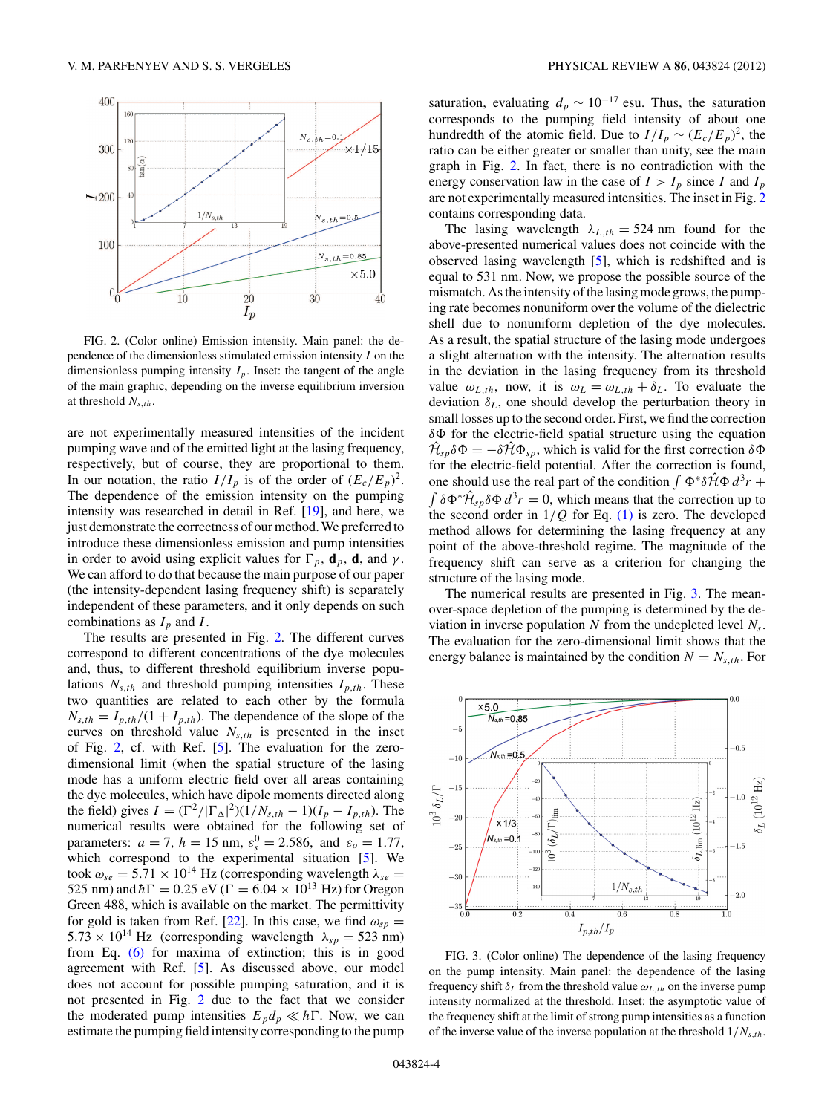<span id="page-3-0"></span>

FIG. 2. (Color online) Emission intensity. Main panel: the dependence of the dimensionless stimulated emission intensity *I* on the dimensionless pumping intensity  $I_p$ . Inset: the tangent of the angle of the main graphic, depending on the inverse equilibrium inversion at threshold *Ns,th*.

are not experimentally measured intensities of the incident pumping wave and of the emitted light at the lasing frequency, respectively, but of course, they are proportional to them. In our notation, the ratio  $I/I_p$  is of the order of  $(E_c/E_p)^2$ . The dependence of the emission intensity on the pumping intensity was researched in detail in Ref. [\[19\]](#page-4-0), and here, we just demonstrate the correctness of our method. We preferred to introduce these dimensionless emission and pump intensities in order to avoid using explicit values for  $\Gamma_p$ , **d**<sub>*p*</sub>, **d**, and *γ*. We can afford to do that because the main purpose of our paper (the intensity-dependent lasing frequency shift) is separately independent of these parameters, and it only depends on such combinations as  $I_p$  and  $I$ .

The results are presented in Fig. 2. The different curves correspond to different concentrations of the dye molecules and, thus, to different threshold equilibrium inverse populations  $N_{s,th}$  and threshold pumping intensities  $I_{p,th}$ . These two quantities are related to each other by the formula  $N_{s,th} = I_{p,th}/(1 + I_{p,th})$ . The dependence of the slope of the curves on threshold value  $N_{s,th}$  is presented in the inset of Fig. 2, cf. with Ref. [\[5\]](#page-4-0). The evaluation for the zerodimensional limit (when the spatial structure of the lasing mode has a uniform electric field over all areas containing the dye molecules, which have dipole moments directed along the field) gives  $I = (\Gamma^2/|\Gamma_{\Delta}|^2)(1/N_{s,th} - 1)(I_p - I_{p,th})$ . The numerical results were obtained for the following set of parameters:  $a = 7$ ,  $h = 15$  nm,  $\varepsilon_s^0 = 2.586$ , and  $\varepsilon_o = 1.77$ , which correspond to the experimental situation [\[5\]](#page-4-0). We took  $ω_{se} = 5.71 \times 10^{14}$  Hz (corresponding wavelength  $λ_{se}$  = 525 nm) and  $\hbar \Gamma = 0.25 \text{ eV}$  ( $\Gamma = 6.04 \times 10^{13} \text{ Hz}$ ) for Oregon Green 488, which is available on the market. The permittivity for gold is taken from Ref. [\[22\]](#page-4-0). In this case, we find  $\omega_{sp} =$  $5.73 \times 10^{14}$  Hz (corresponding wavelength  $\lambda_{sp} = 523$  nm) from Eq. [\(6\)](#page-2-0) for maxima of extinction; this is in good agreement with Ref. [\[5\]](#page-4-0). As discussed above, our model does not account for possible pumping saturation, and it is not presented in Fig. 2 due to the fact that we consider the moderated pump intensities  $E_p d_p \ll \hbar \Gamma$ . Now, we can estimate the pumping field intensity corresponding to the pump

saturation, evaluating  $d_p \sim 10^{-17}$  esu. Thus, the saturation corresponds to the pumping field intensity of about one hundredth of the atomic field. Due to  $I/I_p \sim (E_c/E_p)^2$ , the ratio can be either greater or smaller than unity, see the main graph in Fig. 2. In fact, there is no contradiction with the energy conservation law in the case of  $I > I_p$  since *I* and  $I_p$ are not experimentally measured intensities. The inset in Fig. 2 contains corresponding data.

The lasing wavelength  $\lambda_{L,th} = 524$  nm found for the above-presented numerical values does not coincide with the observed lasing wavelength [\[5\]](#page-4-0), which is redshifted and is equal to 531 nm. Now, we propose the possible source of the mismatch. As the intensity of the lasing mode grows, the pumping rate becomes nonuniform over the volume of the dielectric shell due to nonuniform depletion of the dye molecules. As a result, the spatial structure of the lasing mode undergoes a slight alternation with the intensity. The alternation results in the deviation in the lasing frequency from its threshold value  $\omega_{L,th}$ , now, it is  $\omega_L = \omega_{L,th} + \delta_L$ . To evaluate the deviation  $\delta_L$ , one should develop the perturbation theory in small losses up to the second order. First, we find the correction *δ* for the electric-field spatial structure using the equation  $\hat{\mathcal{H}}_{\text{sp}}\delta\Phi = -\delta\hat{\mathcal{H}}\Phi_{\text{sp}}$ , which is valid for the first correction  $\delta\Phi$ for the electric-field potential. After the correction is found, one should use the real part of the condition  $\int \Phi^* \delta \hat{H} \Phi d^3r +$  $\int \delta \Phi^* \hat{\mathcal{H}}_{\rm SD} \delta \Phi d^3 r = 0$ , which means that the correction up to the second order in  $1/Q$  for Eq. [\(1\)](#page-1-0) is zero. The developed method allows for determining the lasing frequency at any point of the above-threshold regime. The magnitude of the frequency shift can serve as a criterion for changing the structure of the lasing mode.

The numerical results are presented in Fig. 3. The meanover-space depletion of the pumping is determined by the deviation in inverse population *N* from the undepleted level *Ns*. The evaluation for the zero-dimensional limit shows that the energy balance is maintained by the condition  $N = N_{s,th}$ . For



FIG. 3. (Color online) The dependence of the lasing frequency on the pump intensity. Main panel: the dependence of the lasing frequency shift  $\delta_L$  from the threshold value  $\omega_{L,th}$  on the inverse pump intensity normalized at the threshold. Inset: the asymptotic value of the frequency shift at the limit of strong pump intensities as a function of the inverse value of the inverse population at the threshold 1*/Ns,th*.